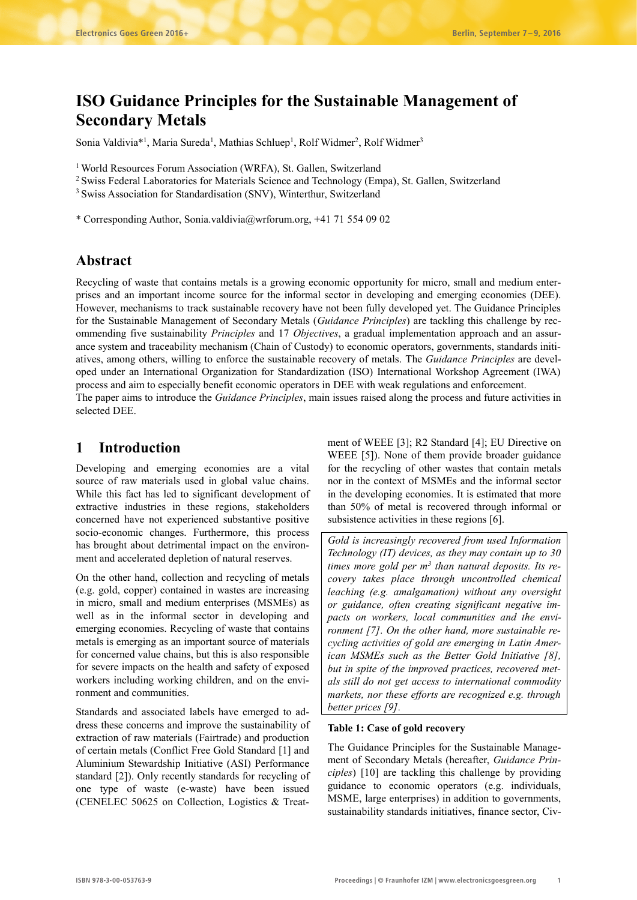# **ISO Guidance Principles for the Sustainable Management of Secondary Metals**

Sonia Valdivia<sup>\*1</sup>, Maria Sureda<sup>1</sup>, Mathias Schluep<sup>1</sup>, Rolf Widmer<sup>2</sup>, Rolf Widmer<sup>3</sup>

<sup>1</sup> World Resources Forum Association (WRFA), St. Gallen, Switzerland

2 Swiss Federal Laboratories for Materials Science and Technology (Empa), St. Gallen, Switzerland

<sup>3</sup> Swiss Association for Standardisation (SNV), Winterthur, Switzerland

\* Corresponding Author, Sonia.valdivia@wrforum.org, +41 71 554 09 02

# **Abstract**

Recycling of waste that contains metals is a growing economic opportunity for micro, small and medium enterprises and an important income source for the informal sector in developing and emerging economies (DEE). However, mechanisms to track sustainable recovery have not been fully developed yet. The Guidance Principles for the Sustainable Management of Secondary Metals (*Guidance Principles*) are tackling this challenge by recommending five sustainability *Principles* and 17 *Objectives*, a gradual implementation approach and an assurance system and traceability mechanism (Chain of Custody) to economic operators, governments, standards initiatives, among others, willing to enforce the sustainable recovery of metals. The *Guidance Principles* are developed under an International Organization for Standardization (ISO) International Workshop Agreement (IWA) process and aim to especially benefit economic operators in DEE with weak regulations and enforcement. The paper aims to introduce the *Guidance Principles*, main issues raised along the process and future activities in selected DEE.

# **1 Introduction**

Developing and emerging economies are a vital source of raw materials used in global value chains. While this fact has led to significant development of extractive industries in these regions, stakeholders concerned have not experienced substantive positive socio-economic changes. Furthermore, this process has brought about detrimental impact on the environment and accelerated depletion of natural reserves.

On the other hand, collection and recycling of metals (e.g. gold, copper) contained in wastes are increasing in micro, small and medium enterprises (MSMEs) as well as in the informal sector in developing and emerging economies. Recycling of waste that contains metals is emerging as an important source of materials for concerned value chains, but this is also responsible for severe impacts on the health and safety of exposed workers including working children, and on the environment and communities.

Standards and associated labels have emerged to address these concerns and improve the sustainability of extraction of raw materials (Fairtrade) and production of certain metals (Conflict Free Gold Standard [1] and Aluminium Stewardship Initiative (ASI) Performance standard [2]). Only recently standards for recycling of one type of waste (e-waste) have been issued (CENELEC 50625 on Collection, Logistics & Treatment of WEEE [3]; R2 Standard [4]; EU Directive on WEEE [5]). None of them provide broader guidance for the recycling of other wastes that contain metals nor in the context of MSMEs and the informal sector in the developing economies. It is estimated that more than 50% of metal is recovered through informal or subsistence activities in these regions [6].

*Gold is increasingly recovered from used Information Technology (IT) devices, as they may contain up to 30 times more gold per m3 than natural deposits. Its recovery takes place through uncontrolled chemical leaching (e.g. amalgamation) without any oversight or guidance, often creating significant negative impacts on workers, local communities and the environment [7]. On the other hand, more sustainable recycling activities of gold are emerging in Latin American MSMEs such as the Better Gold Initiative [8], but in spite of the improved practices, recovered metals still do not get access to international commodity markets, nor these efforts are recognized e.g. through better prices [9].*

#### **Table 1: Case of gold recovery**

The Guidance Principles for the Sustainable Management of Secondary Metals (hereafter, *Guidance Principles*) [10] are tackling this challenge by providing guidance to economic operators (e.g. individuals, MSME, large enterprises) in addition to governments, sustainability standards initiatives, finance sector, Civ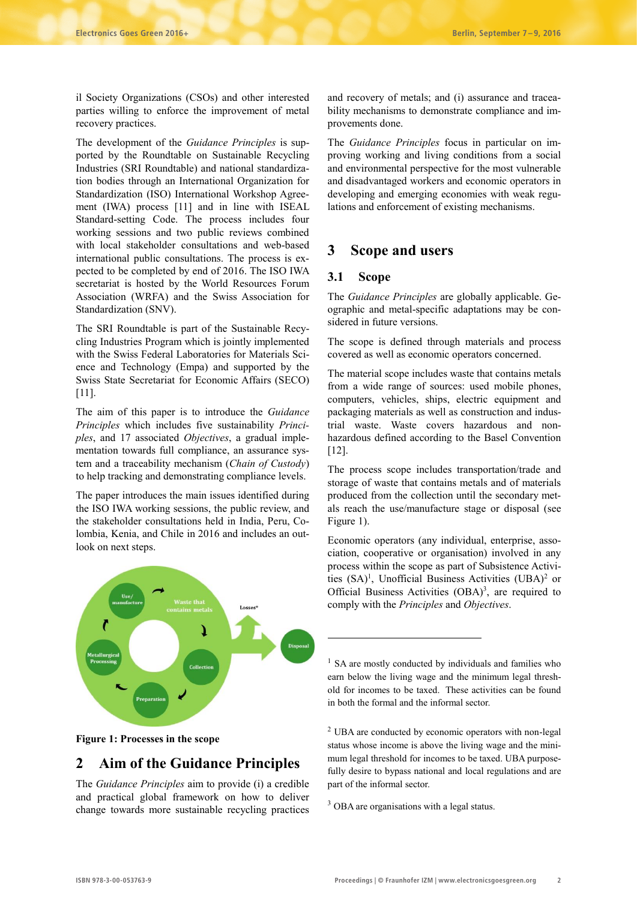il Society Organizations (CSOs) and other interested parties willing to enforce the improvement of metal recovery practices.

The development of the *Guidance Principles* is supported by the Roundtable on Sustainable Recycling Industries (SRI Roundtable) and national standardization bodies through an International Organization for Standardization (ISO) International Workshop Agreement (IWA) process [11] and in line with ISEAL Standard-setting Code. The process includes four working sessions and two public reviews combined with local stakeholder consultations and web-based international public consultations. The process is expected to be completed by end of 2016. The ISO IWA secretariat is hosted by the World Resources Forum Association (WRFA) and the Swiss Association for Standardization (SNV).

The SRI Roundtable is part of the Sustainable Recycling Industries Program which is jointly implemented with the Swiss Federal Laboratories for Materials Science and Technology (Empa) and supported by the Swiss State Secretariat for Economic Affairs (SECO) [11].

The aim of this paper is to introduce the *Guidance Principles* which includes five sustainability *Principles*, and 17 associated *Objectives*, a gradual implementation towards full compliance, an assurance system and a traceability mechanism (*Chain of Custody*) to help tracking and demonstrating compliance levels.

The paper introduces the main issues identified during the ISO IWA working sessions, the public review, and the stakeholder consultations held in India, Peru, Colombia, Kenia, and Chile in 2016 and includes an outlook on next steps.



#### **Figure 1: Processes in the scope**

# **2 Aim of the Guidance Principles**

The *Guidance Principles* aim to provide (i) a credible and practical global framework on how to deliver change towards more sustainable recycling practices and recovery of metals; and (i) assurance and traceability mechanisms to demonstrate compliance and improvements done.

The *Guidance Principles* focus in particular on improving working and living conditions from a social and environmental perspective for the most vulnerable and disadvantaged workers and economic operators in developing and emerging economies with weak regulations and enforcement of existing mechanisms.

# **3 Scope and users**

### **3.1 Scope**

**.** 

The *Guidance Principles* are globally applicable. Geographic and metal-specific adaptations may be considered in future versions.

The scope is defined through materials and process covered as well as economic operators concerned.

The material scope includes waste that contains metals from a wide range of sources: used mobile phones, computers, vehicles, ships, electric equipment and packaging materials as well as construction and industrial waste. Waste covers hazardous and nonhazardous defined according to the Basel Convention [12].

The process scope includes transportation/trade and storage of waste that contains metals and of materials produced from the collection until the secondary metals reach the use/manufacture stage or disposal (see Figure 1).

Economic operators (any individual, enterprise, association, cooperative or organisation) involved in any process within the scope as part of Subsistence Activities (SA)<sup>1</sup>, Unofficial Business Activities (UBA)<sup>2</sup> or Official Business Activities (OBA)<sup>3</sup>, are required to comply with the *Principles* and *Objectives*.

<sup>1</sup> SA are mostly conducted by individuals and families who earn below the living wage and the minimum legal threshold for incomes to be taxed. These activities can be found in both the formal and the informal sector.

<sup>2</sup> UBA are conducted by economic operators with non-legal status whose income is above the living wage and the minimum legal threshold for incomes to be taxed. UBA purposefully desire to bypass national and local regulations and are part of the informal sector.

<sup>3</sup> OBA are organisations with a legal status.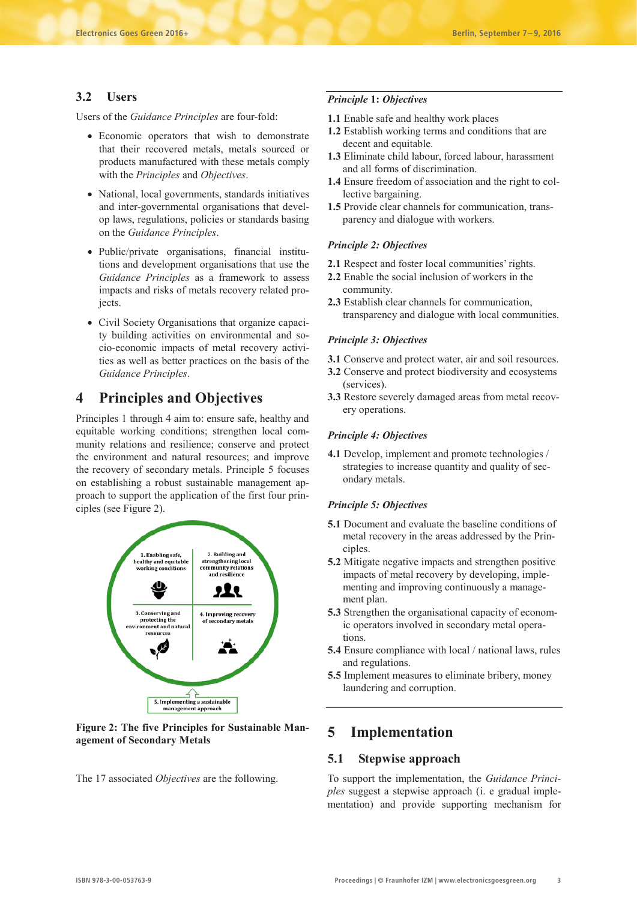### **3.2 Users**

Users of the *Guidance Principles* are four-fold:

- Economic operators that wish to demonstrate that their recovered metals, metals sourced or products manufactured with these metals comply with the *Principles* and *Objectives*.
- National, local governments, standards initiatives and inter-governmental organisations that develop laws, regulations, policies or standards basing on the *Guidance Principles*.
- Public/private organisations, financial institutions and development organisations that use the *Guidance Principles* as a framework to assess impacts and risks of metals recovery related projects.
- Civil Society Organisations that organize capacity building activities on environmental and socio-economic impacts of metal recovery activities as well as better practices on the basis of the *Guidance Principles*.

# **4 Principles and Objectives**

Principles 1 through 4 aim to: ensure safe, healthy and equitable working conditions; strengthen local community relations and resilience; conserve and protect the environment and natural resources; and improve the recovery of secondary metals. Principle 5 focuses on establishing a robust sustainable management approach to support the application of the first four principles (see Figure 2).



**Figure 2: The five Principles for Sustainable Management of Secondary Metals** 

The 17 associated *Objectives* are the following.

### *Principle* **1:** *Objectives*

- **1.1** Enable safe and healthy work places
- **1.2** Establish working terms and conditions that are decent and equitable.
- **1.3** Eliminate child labour, forced labour, harassment and all forms of discrimination.
- **1.4** Ensure freedom of association and the right to collective bargaining.
- **1.5** Provide clear channels for communication, transparency and dialogue with workers.

#### *Principle 2: Objectives*

- **2.1** Respect and foster local communities' rights.
- **2.2** Enable the social inclusion of workers in the community.
- **2.3** Establish clear channels for communication, transparency and dialogue with local communities.

#### *Principle 3: Objectives*

- **3.1** Conserve and protect water, air and soil resources.
- **3.2** Conserve and protect biodiversity and ecosystems (services).
- **3.3** Restore severely damaged areas from metal recovery operations.

#### *Principle 4: Objectives*

**4.1** Develop, implement and promote technologies / strategies to increase quantity and quality of secondary metals.

#### *Principle 5: Objectives*

- **5.1** Document and evaluate the baseline conditions of metal recovery in the areas addressed by the Principles.
- **5.2** Mitigate negative impacts and strengthen positive impacts of metal recovery by developing, implementing and improving continuously a management plan.
- **5.3** Strengthen the organisational capacity of economic operators involved in secondary metal operations.
- **5.4** Ensure compliance with local / national laws, rules and regulations.
- **5.5** Implement measures to eliminate bribery, money laundering and corruption.

# **5 Implementation**

### **5.1 Stepwise approach**

To support the implementation, the *Guidance Principles* suggest a stepwise approach (i. e gradual implementation) and provide supporting mechanism for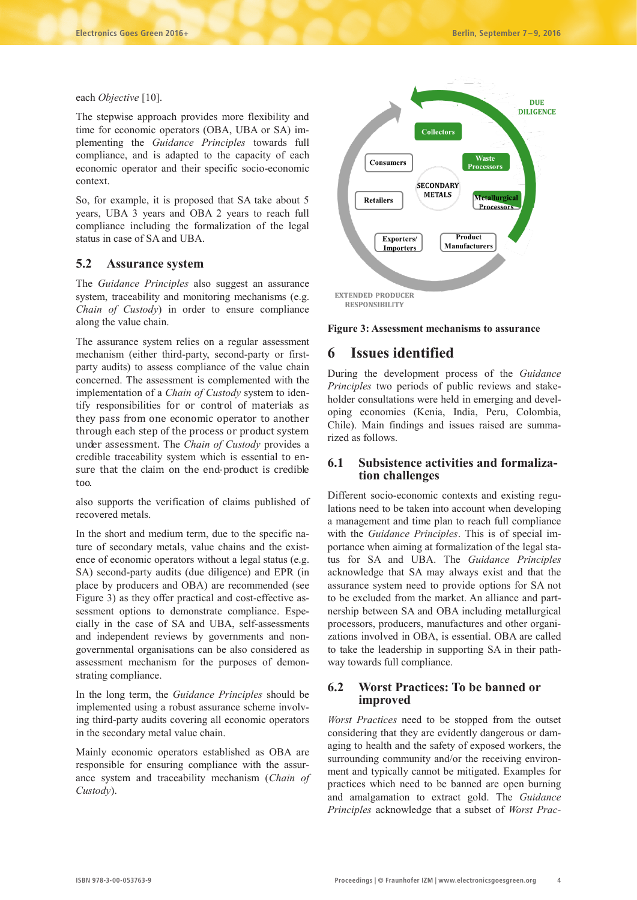each *Objective* [10].

The stepwise approach provides more flexibility and time for economic operators (OBA, UBA or SA) implementing the *Guidance Principles* towards full compliance, and is adapted to the capacity of each economic operator and their specific socio-economic context.

So, for example, it is proposed that SA take about 5 years, UBA 3 years and OBA 2 years to reach full compliance including the formalization of the legal status in case of SA and UBA.

### **5.2 Assurance system**

The *Guidance Principles* also suggest an assurance system, traceability and monitoring mechanisms (e.g. *Chain of Custody*) in order to ensure compliance along the value chain.

The assurance system relies on a regular assessment mechanism (either third-party, second-party or firstparty audits) to assess compliance of the value chain concerned. The assessment is complemented with the implementation of a *Chain of Custody* system to identify responsibilities for or control of materials as they pass from one economic operator to another through each step of the process or product system under assessment. The *Chain of Custody* provides a credible traceability system which is essential to ensure that the claim on the end-product is credible too.

also supports the verification of claims published of recovered metals.

In the short and medium term, due to the specific nature of secondary metals, value chains and the existence of economic operators without a legal status (e.g. SA) second-party audits (due diligence) and EPR (in place by producers and OBA) are recommended (see Figure 3) as they offer practical and cost-effective assessment options to demonstrate compliance. Especially in the case of SA and UBA, self-assessments and independent reviews by governments and nongovernmental organisations can be also considered as assessment mechanism for the purposes of demonstrating compliance.

In the long term, the *Guidance Principles* should be implemented using a robust assurance scheme involving third-party audits covering all economic operators in the secondary metal value chain.

Mainly economic operators established as OBA are responsible for ensuring compliance with the assurance system and traceability mechanism (*Chain of Custody*).



**Figure 3: Assessment mechanisms to assurance**

# **6 Issues identified**

During the development process of the *Guidance Principles* two periods of public reviews and stakeholder consultations were held in emerging and developing economies (Kenia, India, Peru, Colombia, Chile). Main findings and issues raised are summarized as follows.

## **6.1 Subsistence activities and formalization challenges**

Different socio-economic contexts and existing regulations need to be taken into account when developing a management and time plan to reach full compliance with the *Guidance Principles*. This is of special importance when aiming at formalization of the legal status for SA and UBA. The *Guidance Principles* acknowledge that SA may always exist and that the assurance system need to provide options for SA not to be excluded from the market. An alliance and partnership between SA and OBA including metallurgical processors, producers, manufactures and other organizations involved in OBA, is essential. OBA are called to take the leadership in supporting SA in their pathway towards full compliance.

### **6.2 Worst Practices: To be banned or improved**

*Worst Practices* need to be stopped from the outset considering that they are evidently dangerous or damaging to health and the safety of exposed workers, the surrounding community and/or the receiving environment and typically cannot be mitigated. Examples for practices which need to be banned are open burning and amalgamation to extract gold. The *Guidance Principles* acknowledge that a subset of *Worst Prac-*